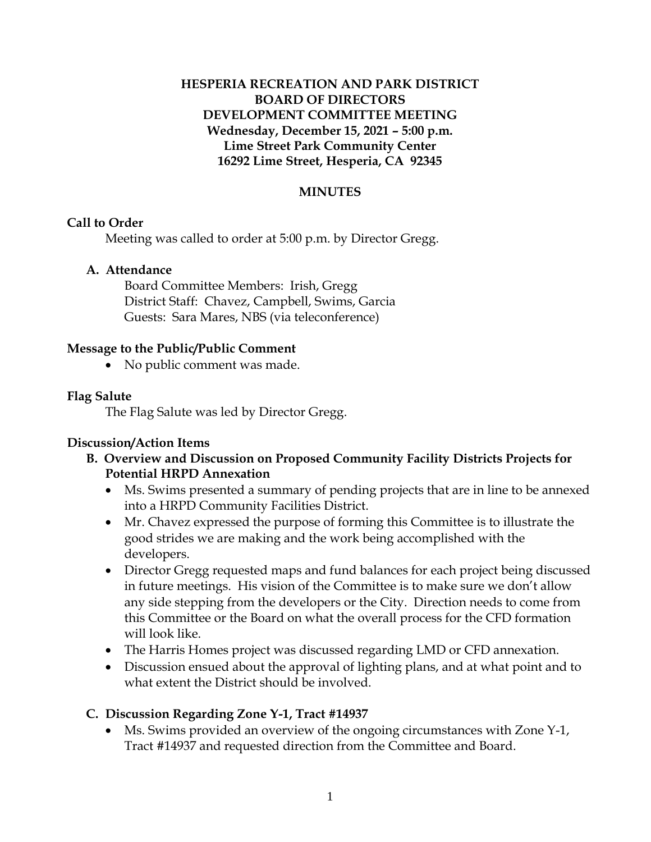# **HESPERIA RECREATION AND PARK DISTRICT BOARD OF DIRECTORS DEVELOPMENT COMMITTEE MEETING Wednesday, December 15, 2021 – 5:00 p.m. Lime Street Park Community Center 16292 Lime Street, Hesperia, CA 92345**

### **MINUTES**

## **Call to Order**

Meeting was called to order at 5:00 p.m. by Director Gregg.

## **A. Attendance**

Board Committee Members: Irish, Gregg District Staff: Chavez, Campbell, Swims, Garcia Guests: Sara Mares, NBS (via teleconference)

## **Message to the Public/Public Comment**

• No public comment was made.

## **Flag Salute**

The Flag Salute was led by Director Gregg.

# **Discussion/Action Items**

- **B. Overview and Discussion on Proposed Community Facility Districts Projects for Potential HRPD Annexation**
	- Ms. Swims presented a summary of pending projects that are in line to be annexed into a HRPD Community Facilities District.
	- Mr. Chavez expressed the purpose of forming this Committee is to illustrate the good strides we are making and the work being accomplished with the developers.
	- Director Gregg requested maps and fund balances for each project being discussed in future meetings. His vision of the Committee is to make sure we don't allow any side stepping from the developers or the City. Direction needs to come from this Committee or the Board on what the overall process for the CFD formation will look like.
	- The Harris Homes project was discussed regarding LMD or CFD annexation.
	- Discussion ensued about the approval of lighting plans, and at what point and to what extent the District should be involved.

# **C. Discussion Regarding Zone Y-1, Tract #14937**

 Ms. Swims provided an overview of the ongoing circumstances with Zone Y-1, Tract #14937 and requested direction from the Committee and Board.